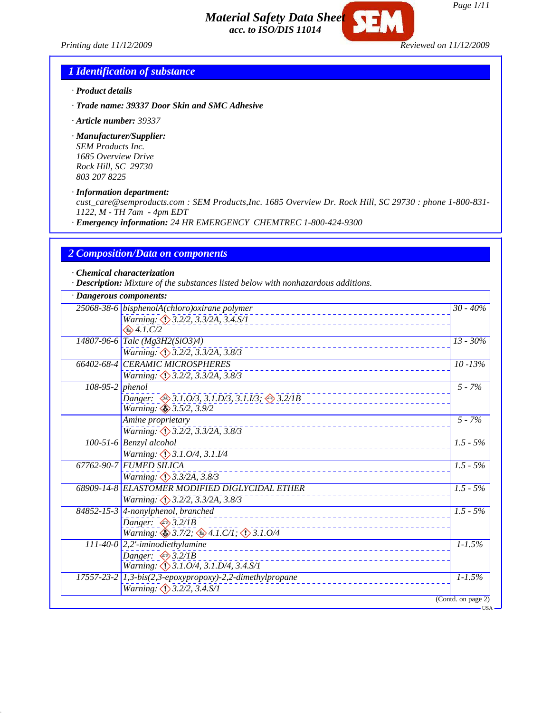*Printing date 11/12/2009 Reviewed on 11/12/2009*

*Material Safety Data Sheet acc. to ISO/DIS 11014*

*Page 1/11*

## *1 Identification of substance*

- *· Product details*
- *· Trade name: 39337 Door Skin and SMC Adhesive*
- *· Article number: 39337*

*· Manufacturer/Supplier: SEM Products Inc. 1685 Overview Drive Rock Hill, SC 29730 803 207 8225*

*· Information department:*

*cust\_care@semproducts.com : SEM Products,Inc. 1685 Overview Dr. Rock Hill, SC 29730 : phone 1-800-831- 1122, M - TH 7am - 4pm EDT*

*· Emergency information: 24 HR EMERGENCY CHEMTREC 1-800-424-9300*

## *2 Composition/Data on components*

*· Chemical characterization*

*· Description: Mixture of the substances listed below with nonhazardous additions.*

| · Dangerous components: |                                                                |                    |
|-------------------------|----------------------------------------------------------------|--------------------|
|                         | 25068-38-6 bisphenolA(chloro)oxirane polymer                   | $30 - 40%$         |
|                         | Warning: 3.2/2, 3.3/2A, 3.4.S/1                                |                    |
|                         | $\bigotimes$ 4.1.C/2                                           |                    |
|                         | $14807 - 96 - 6$ Talc (Mg3H2(SiO3)4)                           | $13 - 30\%$        |
|                         | Warning: 3.2/2, 3.3/2A, 3.8/3                                  |                    |
|                         | 66402-68-4 CERAMIC MICROSPHERES                                | $10 - 13%$         |
|                         | Warning: 3.2/2, 3.3/2A, 3.8/3                                  |                    |
| $108-95-2$ phenol       |                                                                | $5 - 7%$           |
|                         | Danger: $\otimes$ 3.1.0/3, 3.1.D/3, 3.1.I/3; $\otimes$ 3.2/1B  |                    |
|                         | Warning: 3.5/2, 3.9/2                                          |                    |
|                         | Amine proprietary                                              | $5 - 7%$           |
|                         | Warning: 3.2/2, 3.3/2A, 3.8/3                                  |                    |
|                         | 100-51-6 Benzyl alcohol                                        | $1.5 - 5\%$        |
|                         | Warning: $\bigcirc$ 3.1.0/4, 3.1.1/4                           |                    |
|                         | 67762-90-7 FUMED SILICA                                        | $1.5 - 5\%$        |
|                         | Warning: 3.3/2A, 3.8/3                                         |                    |
|                         | 68909-14-8 ELASTOMER MODIFIED DIGLYCIDAL ETHER                 | $1.5 - 5\%$        |
|                         | Warning: 3.2/2, 3.3/2A, 3.8/3                                  |                    |
|                         | 84852-15-3 4-nonylphenol, branched                             | $1.5 - 5\%$        |
|                         | Danger: $\bigotimes$ 3.2/1B                                    |                    |
|                         | Warning: $\otimes$ 3.7/2; $\otimes$ 4.1.C/1; $\otimes$ 3.1.0/4 |                    |
|                         | 111-40-0 $\sqrt{2,2'-iminod}$ inthylamine                      | $1 - 1.5%$         |
|                         | Danger: $\bigotimes$ 3.2/1B                                    |                    |
|                         | Warning: $\langle \rangle$ 3.1.0/4, 3.1.D/4, 3.4.S/1           |                    |
|                         | $17557-23-2$ 1,3-bis(2,3-epoxypropoxy)-2,2-dimethylpropane     | $1 - 1.5%$         |
|                         | <i>Warning: <math>\bigcirc</math> 3.2/2, 3.4.S/1</i>           |                    |
|                         |                                                                | (Contd. on page 2) |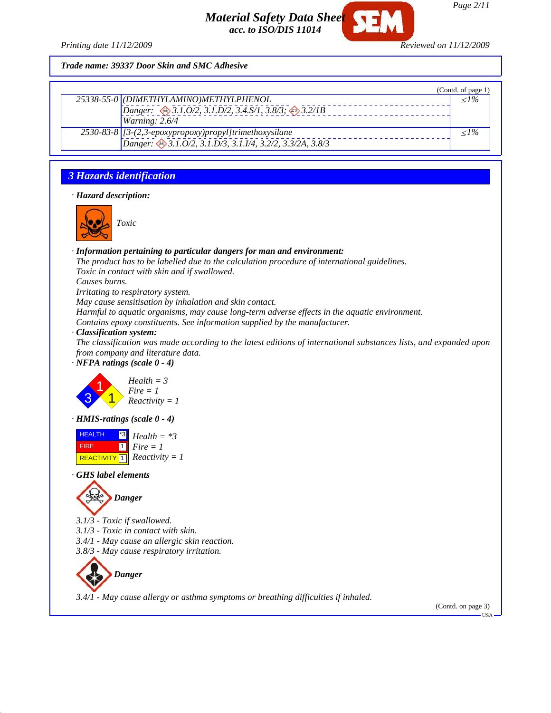*Page 2/11*

*Material Safety Data Sheet acc. to ISO/DIS 11014*

*Printing date 11/12/2009 Reviewed on 11/12/2009*

*Trade name: 39337 Door Skin and SMC Adhesive*



## *3 Hazards identification*

*· Hazard description:*



*· Information pertaining to particular dangers for man and environment:*

*The product has to be labelled due to the calculation procedure of international guidelines. Toxic in contact with skin and if swallowed.*

*Causes burns.*

*Irritating to respiratory system.*

*May cause sensitisation by inhalation and skin contact.*

*Harmful to aquatic organisms, may cause long-term adverse effects in the aquatic environment.*

*Contains epoxy constituents. See information supplied by the manufacturer.*

*· Classification system:*

*The classification was made according to the latest editions of international substances lists, and expanded upon from company and literature data.*

*· NFPA ratings (scale 0 - 4)*



*· HMIS-ratings (scale 0 - 4)*

 HEALTH FIRE  $\boxed{\text{REACTIVITY} \boxed{1}}$  Reactivity = 1 \*3 1 *Health = \*3 Fire = 1*

*· GHS label elements*



*3.1/3 - Toxic if swallowed. 3.1/3 - Toxic in contact with skin. 3.4/1 - May cause an allergic skin reaction. 3.8/3 - May cause respiratory irritation.*

*Danger*

*3.4/1 - May cause allergy or asthma symptoms or breathing difficulties if inhaled.*

(Contd. on page 3)

USA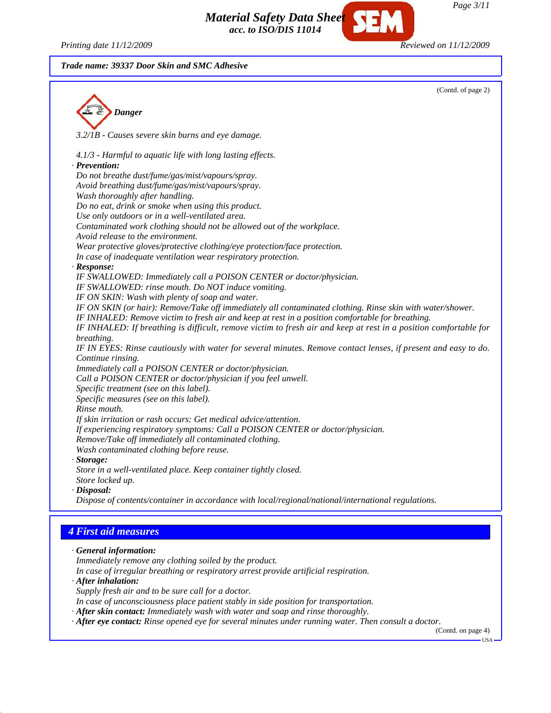*Page 3/11*

*Printing date 11/12/2009 Reviewed on 11/12/2009*

*Trade name: 39337 Door Skin and SMC Adhesive*



*Material Safety Data Sheet acc. to ISO/DIS 11014*

## *4 First aid measures*

```
· General information:
Immediately remove any clothing soiled by the product.
In case of irregular breathing or respiratory arrest provide artificial respiration.
· After inhalation:
Supply fresh air and to be sure call for a doctor.
In case of unconsciousness place patient stably in side position for transportation.
· After skin contact: Immediately wash with water and soap and rinse thoroughly.
```
*· After eye contact: Rinse opened eye for several minutes under running water. Then consult a doctor.*

(Contd. on page 4)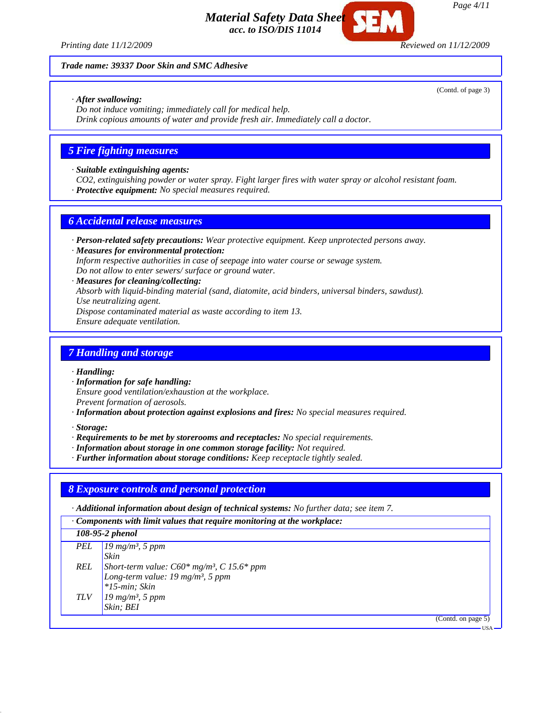*Page 4/11*

*acc. to ISO/DIS 11014*

*Printing date 11/12/2009 Reviewed on 11/12/2009*

#### *Trade name: 39337 Door Skin and SMC Adhesive*

#### *· After swallowing:*

*Do not induce vomiting; immediately call for medical help.*

*Drink copious amounts of water and provide fresh air. Immediately call a doctor.*

## *5 Fire fighting measures*

#### *· Suitable extinguishing agents:*

*CO2, extinguishing powder or water spray. Fight larger fires with water spray or alcohol resistant foam. · Protective equipment: No special measures required.*

*Material Safety Data Sheet*

## *6 Accidental release measures*

- *· Person-related safety precautions: Wear protective equipment. Keep unprotected persons away. · Measures for environmental protection:*
- *Inform respective authorities in case of seepage into water course or sewage system.*

*Do not allow to enter sewers/ surface or ground water.*

*· Measures for cleaning/collecting: Absorb with liquid-binding material (sand, diatomite, acid binders, universal binders, sawdust). Use neutralizing agent.*

*Dispose contaminated material as waste according to item 13.*

*Ensure adequate ventilation.*

## *7 Handling and storage*

*· Handling:*

- *· Information for safe handling:*
- *Ensure good ventilation/exhaustion at the workplace.*

*Prevent formation of aerosols.*

- *· Information about protection against explosions and fires: No special measures required.*
- *· Storage:*
- *· Requirements to be met by storerooms and receptacles: No special requirements.*
- *· Information about storage in one common storage facility: Not required.*
- *· Further information about storage conditions: Keep receptacle tightly sealed.*

## *8 Exposure controls and personal protection*

*· Additional information about design of technical systems: No further data; see item 7.*

*· Components with limit values that require monitoring at the workplace:*

| 108-95-2 phenol                                                                                                                              |  |
|----------------------------------------------------------------------------------------------------------------------------------------------|--|
| PEL $\begin{bmatrix} 19 \text{ mg/m}^3, 5 \text{ ppm} \\ \text{skin} \end{bmatrix}$                                                          |  |
|                                                                                                                                              |  |
|                                                                                                                                              |  |
|                                                                                                                                              |  |
|                                                                                                                                              |  |
|                                                                                                                                              |  |
| REL<br>Short-term value: $C60*mg/m^3$ , $C15.6*ppm$<br>Long-term value: $19 mg/m^3$ , $5 ppm$<br>$TLV$<br>$19 mg/m^3$ , $5 ppm$<br>Skin; BEI |  |
| (Contd. on page 5)                                                                                                                           |  |

USA

(Contd. of page 3)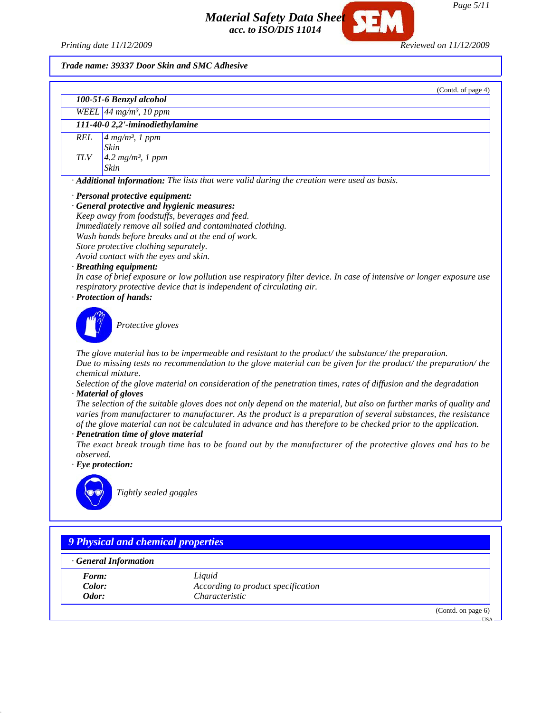*Page 5/11*

*Material Safety Data Sheet acc. to ISO/DIS 11014*

*Printing date 11/12/2009 Reviewed on 11/12/2009*

*Trade name: 39337 Door Skin and SMC Adhesive*

|            | (Contd. of page 4)                                                                                                                                                                                                                                                                                                                                         |
|------------|------------------------------------------------------------------------------------------------------------------------------------------------------------------------------------------------------------------------------------------------------------------------------------------------------------------------------------------------------------|
|            | 100-51-6 Benzyl alcohol                                                                                                                                                                                                                                                                                                                                    |
|            | WEEL $44$ mg/m <sup>3</sup> , 10 ppm                                                                                                                                                                                                                                                                                                                       |
|            | 111-40-0 2,2'-iminodiethylamine                                                                                                                                                                                                                                                                                                                            |
| <b>REL</b> | 4 mg/m <sup>3</sup> , 1 ppm                                                                                                                                                                                                                                                                                                                                |
|            | Skin                                                                                                                                                                                                                                                                                                                                                       |
| <b>TLV</b> | $4.2$ mg/m <sup>3</sup> , 1 ppm<br>Skin                                                                                                                                                                                                                                                                                                                    |
|            | · Additional information: The lists that were valid during the creation were used as basis.                                                                                                                                                                                                                                                                |
|            | · Personal protective equipment:                                                                                                                                                                                                                                                                                                                           |
|            | · General protective and hygienic measures:                                                                                                                                                                                                                                                                                                                |
|            | Keep away from foodstuffs, beverages and feed.                                                                                                                                                                                                                                                                                                             |
|            | Immediately remove all soiled and contaminated clothing.                                                                                                                                                                                                                                                                                                   |
|            | Wash hands before breaks and at the end of work.                                                                                                                                                                                                                                                                                                           |
|            | Store protective clothing separately.                                                                                                                                                                                                                                                                                                                      |
|            | Avoid contact with the eyes and skin.                                                                                                                                                                                                                                                                                                                      |
|            | · Breathing equipment:                                                                                                                                                                                                                                                                                                                                     |
|            | In case of brief exposure or low pollution use respiratory filter device. In case of intensive or longer exposure use                                                                                                                                                                                                                                      |
|            | respiratory protective device that is independent of circulating air.                                                                                                                                                                                                                                                                                      |
|            | · Protection of hands:                                                                                                                                                                                                                                                                                                                                     |
|            | Protective gloves                                                                                                                                                                                                                                                                                                                                          |
|            | The glove material has to be impermeable and resistant to the product/the substance/the preparation.<br>Due to missing tests no recommendation to the glove material can be given for the product/ the preparation/ the<br>chemical mixture.                                                                                                               |
|            | Selection of the glove material on consideration of the penetration times, rates of diffusion and the degradation                                                                                                                                                                                                                                          |
|            | · Material of gloves                                                                                                                                                                                                                                                                                                                                       |
|            | The selection of the suitable gloves does not only depend on the material, but also on further marks of quality and<br>varies from manufacturer to manufacturer. As the product is a preparation of several substances, the resistance<br>of the glove material can not be calculated in advance and has therefore to be checked prior to the application. |
|            | · Penetration time of glove material                                                                                                                                                                                                                                                                                                                       |
| observed.  | The exact break trough time has to be found out by the manufacturer of the protective gloves and has to be                                                                                                                                                                                                                                                 |
|            | $\cdot$ Eye protection:                                                                                                                                                                                                                                                                                                                                    |
|            |                                                                                                                                                                                                                                                                                                                                                            |
|            | Tightly sealed goggles                                                                                                                                                                                                                                                                                                                                     |

| <b>General Information</b> |                                    |  |
|----------------------------|------------------------------------|--|
| Form:                      | Liquid                             |  |
| Color:                     | According to product specification |  |
| Odor:                      | Characteristic                     |  |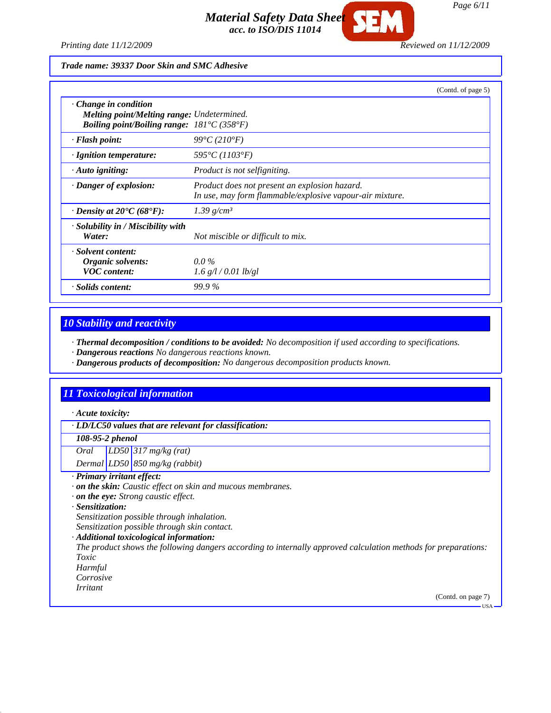*Material Safety Data Sheet acc. to ISO/DIS 11014*

*Printing date 11/12/2009 Reviewed on 11/12/2009*

*Trade name: 39337 Door Skin and SMC Adhesive*

|                                                                                                                                       |                                                                                                           | (Contd. of page 5) |
|---------------------------------------------------------------------------------------------------------------------------------------|-----------------------------------------------------------------------------------------------------------|--------------------|
| Change in condition<br>Melting point/Melting range: Undetermined.<br><b>Boiling point/Boiling range:</b> $181^{\circ}C(358^{\circ}F)$ |                                                                                                           |                    |
| $\cdot$ Flash point:                                                                                                                  | 99 ${}^{\circ}C(210{}^{\circ}F)$                                                                          |                    |
| · Ignition temperature:                                                                                                               | $595^{\circ}C(1103^{\circ}F)$                                                                             |                    |
| $\cdot$ Auto igniting:                                                                                                                | <i>Product is not selfigniting.</i>                                                                       |                    |
| · Danger of explosion:                                                                                                                | Product does not present an explosion hazard.<br>In use, may form flammable/explosive vapour-air mixture. |                    |
| $\cdot$ Density at 20 $\rm{C}(68\rm{^{\circ}F})$ :                                                                                    | 1.39 g/cm <sup>3</sup>                                                                                    |                    |
| · Solubility in / Miscibility with<br>Water:                                                                                          | Not miscible or difficult to mix.                                                                         |                    |
| · Solvent content:<br>Organic solvents:<br><b>VOC</b> content:                                                                        | $0.0\%$<br>$1.6$ g/l / 0.01 lb/gl                                                                         |                    |
| · Solids content:                                                                                                                     | 99.9%                                                                                                     |                    |

## *10 Stability and reactivity*

*· Thermal decomposition / conditions to be avoided: No decomposition if used according to specifications.*

- *· Dangerous reactions No dangerous reactions known.*
- *· Dangerous products of decomposition: No dangerous decomposition products known.*

## *11 Toxicological information*

*· Acute toxicity:*

*· LD/LC50 values that are relevant for classification:*

*108-95-2 phenol*

*Oral LD50 317 mg/kg (rat)*

*Dermal LD50 850 mg/kg (rabbit)*

*· Primary irritant effect:*

*· on the skin: Caustic effect on skin and mucous membranes.*

*· on the eye: Strong caustic effect.*

*· Sensitization:*

*Sensitization possible through inhalation.*

*Sensitization possible through skin contact.*

*· Additional toxicological information:*

*The product shows the following dangers according to internally approved calculation methods for preparations: Toxic*

*Harmful*

*Corrosive*

*Irritant*

(Contd. on page 7) USA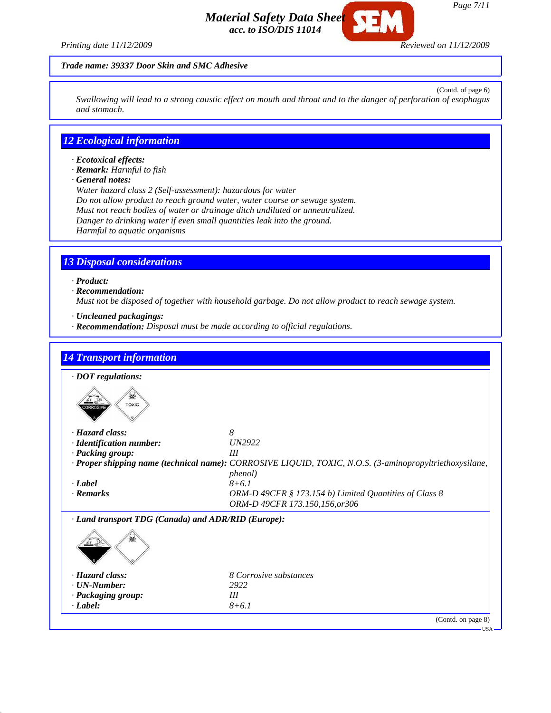*Page 7/11*

*Printing date 11/12/2009 Reviewed on 11/12/2009*

## *Trade name: 39337 Door Skin and SMC Adhesive*

(Contd. of page 6) *Swallowing will lead to a strong caustic effect on mouth and throat and to the danger of perforation of esophagus and stomach.*

*Material Safety Data Sheet*

*acc. to ISO/DIS 11014*

## *12 Ecological information*

- *· Ecotoxical effects:*
- *· Remark: Harmful to fish*
- *· General notes:*

*Water hazard class 2 (Self-assessment): hazardous for water Do not allow product to reach ground water, water course or sewage system. Must not reach bodies of water or drainage ditch undiluted or unneutralized. Danger to drinking water if even small quantities leak into the ground. Harmful to aquatic organisms*

## *13 Disposal considerations*

#### *· Product:*

*· Recommendation:*

*Must not be disposed of together with household garbage. Do not allow product to reach sewage system.*

- *· Uncleaned packagings:*
- *· Recommendation: Disposal must be made according to official regulations.*

| $\cdot$ DOT regulations:                            |                                                                                                                    |
|-----------------------------------------------------|--------------------------------------------------------------------------------------------------------------------|
| <b>TOXIC</b><br><b>ORROSIV</b>                      |                                                                                                                    |
| · Hazard class:                                     | 8                                                                                                                  |
| · Identification number:                            | UN2922                                                                                                             |
| · Packing group:                                    | III                                                                                                                |
|                                                     | · Proper shipping name (technical name): CORROSIVE LIQUID, TOXIC, N.O.S. (3-aminopropyltriethoxysilane,<br>phenol) |
| · Label                                             | $8+6.1$                                                                                                            |
| · Remarks                                           | ORM-D 49CFR § 173.154 b) Limited Quantities of Class 8<br>ORM-D 49CFR 173.150,156,or306                            |
| · Land transport TDG (Canada) and ADR/RID (Europe): |                                                                                                                    |
|                                                     |                                                                                                                    |
| · Hazard class:                                     | 8 Corrosive substances                                                                                             |
| $\cdot$ UN-Number:                                  | 2922                                                                                                               |
| · Packaging group:                                  | III                                                                                                                |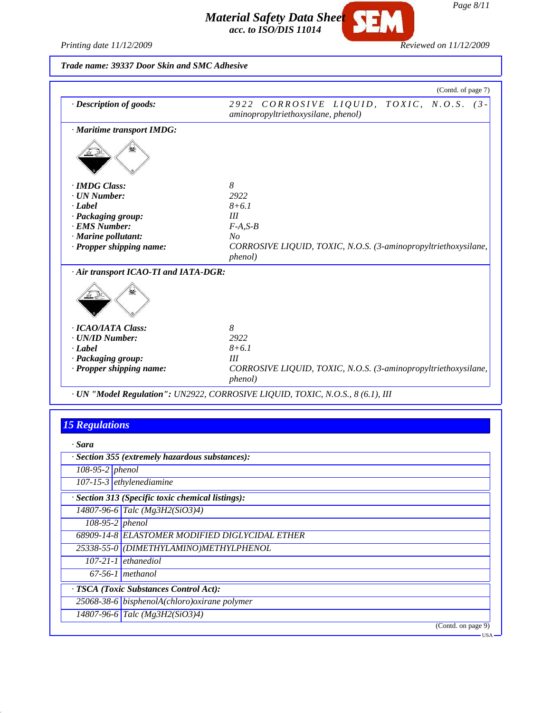*Page 8/11*

*Material Safety Data Sheet acc. to ISO/DIS 11014*

*Printing date 11/12/2009 Reviewed on 11/12/2009*

*Trade name: 39337 Door Skin and SMC Adhesive*

|                                                | (Contd. of page 7)                                                                |
|------------------------------------------------|-----------------------------------------------------------------------------------|
| · Description of goods:                        | 2922 CORROSIVE LIQUID, TOXIC, N.O.S. (3-<br>aminopropyltriethoxysilane, phenol)   |
| · Maritime transport IMDG:                     |                                                                                   |
|                                                |                                                                                   |
| · <b>IMDG</b> Class:                           | 8                                                                                 |
| · UN Number:                                   | 2922                                                                              |
| · Label                                        | $8 + 6.1$                                                                         |
| · Packaging group:                             | III                                                                               |
| · EMS Number:                                  | $F-A, S-B$                                                                        |
| · Marine pollutant:                            | N <sub>O</sub>                                                                    |
| · Propper shipping name:                       | CORROSIVE LIQUID, TOXIC, N.O.S. (3-aminopropyltriethoxysilane,<br><i>phenol</i> ) |
| · Air transport ICAO-TI and IATA-DGR:          |                                                                                   |
|                                                |                                                                                   |
| · ICAO/IATA Class:                             | 8                                                                                 |
| · UN/ID Number:                                | 2922                                                                              |
| · Label                                        | $8 + 6.1$                                                                         |
| · Packaging group:<br>· Propper shipping name: | III<br>CORROSIVE LIQUID, TOXIC, N.O.S. (3-aminopropyltriethoxysilane,             |

# *15 Regulations*

| · Sara                          |                                                   |
|---------------------------------|---------------------------------------------------|
|                                 | · Section 355 (extremely hazardous substances):   |
| $\overline{108}$ -95-2   phenol |                                                   |
|                                 | $107 - 15 - 3$ ethylenediamine                    |
|                                 | · Section 313 (Specific toxic chemical listings): |
|                                 | $14807 - 96 - 6$ Talc (Mg3H2(SiO3)4)              |
| $\overline{108}$ -95-2 phenol   |                                                   |
|                                 | 68909-14-8 ELASTOMER MODIFIED DIGLYCIDAL ETHER    |
|                                 | 25338-55-0 (DIMETHYLAMINO)METHYLPHENOL            |
|                                 | $107-21-1$ ethanediol                             |
|                                 | $67-56-1$ methanol                                |
|                                 | · TSCA (Toxic Substances Control Act):            |
|                                 | 25068-38-6 bisphenolA(chloro) oxirane polymer     |
|                                 | $14807-96-6$ Talc (Mg3H2(SiO3)4)                  |
|                                 | (Contd. on page 9)<br>$-$ USA -                   |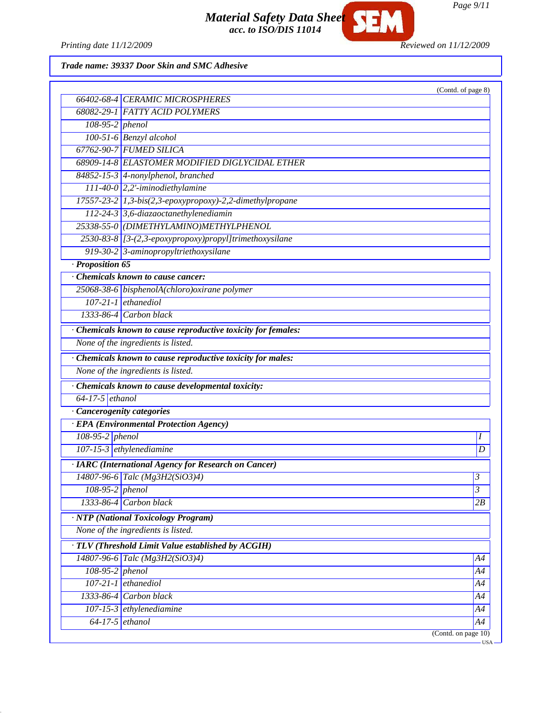*Page 9/11*

*Material Safety Data Sheet acc. to ISO/DIS 11014*

*Printing date 11/12/2009 Reviewed on 11/12/2009*

*Trade name: 39337 Door Skin and SMC Adhesive*

|                   |                                                               | (Contd. of page 8) |
|-------------------|---------------------------------------------------------------|--------------------|
|                   | 66402-68-4 CERAMIC MICROSPHERES                               |                    |
|                   | 68082-29-1 FATTY ACID POLYMERS                                |                    |
| 108-95-2 phenol   |                                                               |                    |
|                   | 100-51-6 Benzyl alcohol                                       |                    |
|                   | 67762-90-7 FUMED SILICA                                       |                    |
|                   | 68909-14-8 ELASTOMER MODIFIED DIGLYCIDAL ETHER                |                    |
|                   | 84852-15-3 4-nonylphenol, branched                            |                    |
|                   | 111-40-0 $\sqrt{2,2'-iminod}$ inthylamine                     |                    |
|                   | 17557-23-2 1,3-bis(2,3-epoxypropoxy)-2,2-dimethylpropane      |                    |
|                   | 112-24-3 3,6-diazaoctanethylenediamin                         |                    |
|                   | 25338-55-0 (DIMETHYLAMINO)METHYLPHENOL                        |                    |
|                   | 2530-83-8 [3-(2,3-epoxypropoxy)propyl]trimethoxysilane        |                    |
|                   | 919-30-2 3-aminopropyltriethoxysilane                         |                    |
| · Proposition 65  |                                                               |                    |
|                   | Chemicals known to cause cancer:                              |                    |
|                   | 25068-38-6 bisphenolA(chloro)oxirane polymer                  |                    |
|                   | $107-21-1$ ethanediol                                         |                    |
|                   | 1333-86-4 Carbon black                                        |                    |
|                   | · Chemicals known to cause reproductive toxicity for females: |                    |
|                   | None of the ingredients is listed.                            |                    |
|                   | · Chemicals known to cause reproductive toxicity for males:   |                    |
|                   | None of the ingredients is listed.                            |                    |
|                   | · Chemicals known to cause developmental toxicity:            |                    |
| $64-17-5$ ethanol |                                                               |                    |
|                   | · Cancerogenity categories                                    |                    |
|                   | · EPA (Environmental Protection Agency)                       |                    |
| $108-95-2$ phenol |                                                               |                    |
|                   | $107-15-3$ ethylenediamine                                    | $\boldsymbol{D}$   |
|                   | · IARC (International Agency for Research on Cancer)          |                    |
|                   | 14807-96-6 Talc (Mg3H2(SiO3)4)                                | 3                  |
| 108-95-2 phenol   |                                                               | 3                  |
|                   | $1333-86-4$ Carbon black                                      | 2B                 |
|                   | · NTP (National Toxicology Program)                           |                    |
|                   | None of the ingredients is listed.                            |                    |
|                   |                                                               |                    |
|                   | · TLV (Threshold Limit Value established by ACGIH)            |                    |
|                   | 14807-96-6 Talc (Mg3H2(SiO3)4)                                | A4                 |
| 108-95-2 phenol   |                                                               | A4                 |
|                   | $107-21-1$ ethanediol                                         | A4                 |
|                   | 1333-86-4 Carbon black                                        | A4                 |
|                   | 107-15-3 ethylenediamine                                      | A4                 |
| $64-17-5$ ethanol |                                                               | A4                 |

USA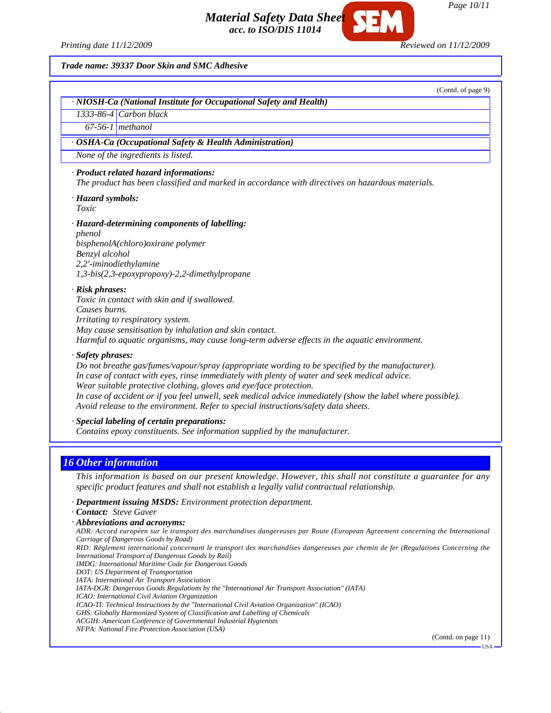*Page 10/11*

*Material Safety Data Sheet acc. to ISO/DIS 11014*

*Printing date 11/12/2009 Reviewed on 11/12/2009*

*Trade name: 39337 Door Skin and SMC Adhesive*

(Contd. of page 9)

*· NIOSH-Ca (National Institute for Occupational Safety and Health)*

*1333-86-4 Carbon black*

*67-56-1 methanol*

#### *· OSHA-Ca (Occupational Safety & Health Administration)*

*None of the ingredients is listed.*

#### *· Product related hazard informations:*

*The product has been classified and marked in accordance with directives on hazardous materials.*

*· Hazard symbols: Toxic*

*· Hazard-determining components of labelling: phenol bisphenolA(chloro)oxirane polymer Benzyl alcohol 2,2'-iminodiethylamine 1,3-bis(2,3-epoxypropoxy)-2,2-dimethylpropane*

#### *· Risk phrases:*

*Toxic in contact with skin and if swallowed. Causes burns. Irritating to respiratory system. May cause sensitisation by inhalation and skin contact. Harmful to aquatic organisms, may cause long-term adverse effects in the aquatic environment.*

*· Safety phrases:*

*Do not breathe gas/fumes/vapour/spray (appropriate wording to be specified by the manufacturer). In case of contact with eyes, rinse immediately with plenty of water and seek medical advice. Wear suitable protective clothing, gloves and eye/face protection. In case of accident or if you feel unwell, seek medical advice immediately (show the label where possible). Avoid release to the environment. Refer to special instructions/safety data sheets.*

#### *· Special labeling of certain preparations:*

*Contains epoxy constituents. See information supplied by the manufacturer.*

#### *16 Other information*

*This information is based on our present knowledge. However, this shall not constitute a guarantee for any specific product features and shall not establish a legally valid contractual relationship.*

#### *· Department issuing MSDS: Environment protection department.*

*· Contact: Steve Gaver*

*· Abbreviations and acronyms: ADR: Accord européen sur le transport des marchandises dangereuses par Route (European Agreement concerning the International Carriage of Dangerous Goods by Road) RID: Règlement international concernant le transport des marchandises dangereuses par chemin de fer (Regulations Concerning the International Transport of Dangerous Goods by Rail) IMDG: International Maritime Code for Dangerous Goods DOT: US Department of Transportation IATA: International Air Transport Association IATA-DGR: Dangerous Goods Regulations by the "International Air Transport Association" (IATA) ICAO: International Civil Aviation Organization ICAO-TI: Technical Instructions by the "International Civil Aviation Organization" (ICAO) GHS: Globally Harmonized System of Classification and Labelling of Chemicals ACGIH: American Conference of Governmental Industrial Hygienists NFPA: National Fire Protection Association (USA)* (Contd. on page 11) USA